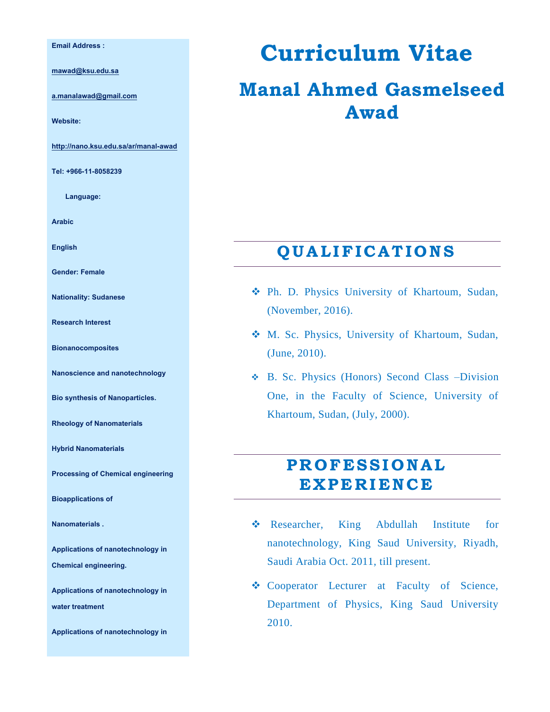**Email Address :**

**mawad@ksu.edu.sa** 

**[a.manalawad@gmail.com](mailto:khalidortahi@gmail.com)**

**Website:** 

**http://nano.ksu.edu.sa/ar/manal-awad**

**Tel: +966-11-8058239**

 **Language:**

**Arabic**

**English**

**Gender: Female**

**Nationality: Sudanese**

**Research Interest**

**Bionanocomposites** 

**[Nanoscience and nanotechnology](http://www.academia.edu/People?discipline_path=Nanoscience+and+nanotechnology&discipline_path_id=Nanoscience_And_Nanotechnology)**

**Bio synthesis of Nanoparticles.** 

**Rheology of Nanomaterials** 

**Hybrid Nanomaterials** 

**Processing of Chemical engineering** 

**Bioapplications of** 

**Nanomaterials .**

**Applications of nanotechnology in Chemical engineering.**

**Applications of nanotechnology in water treatment**

**Applications of nanotechnology in** 

# **Curriculum Vitae Manal Ahmed Gasmelseed Awad**

## **QUALIFICATIONS**

- Ph. D. Physics University of Khartoum, Sudan, (November, 2016).
- M. Sc. Physics, University of Khartoum, Sudan, (June, 2010).
- B. Sc. Physics (Honors) Second Class –Division One, in the Faculty of Science, University of Khartoum, Sudan, (July, 2000).

### **PROFESSIONAL EXPERIENCE**

- \* Researcher, King Abdullah Institute for nanotechnology, King Saud University, Riyadh, Saudi Arabia Oct. 2011, till present.
- \* Cooperator Lecturer at Faculty of Science, Department of Physics, King Saud University 2010.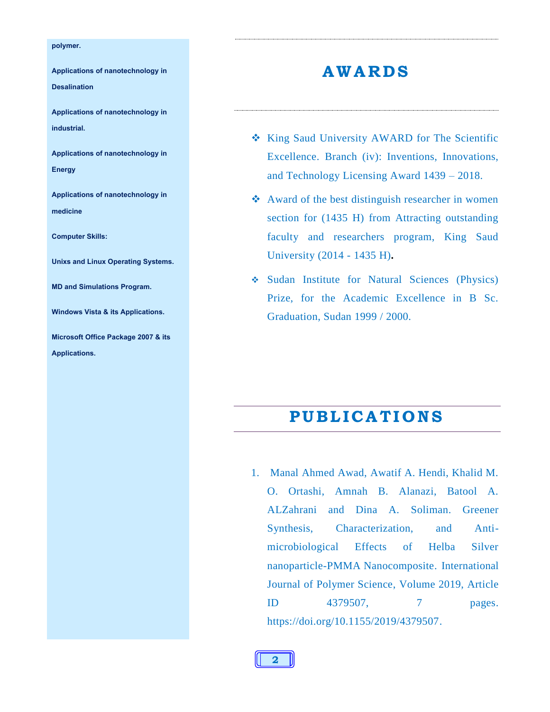#### **polymer.**

**Applications of nanotechnology in Desalination** 

**Applications of nanotechnology in industrial.** 

**Applications of nanotechnology in Energy**

**Applications of nanotechnology in medicine**

**Computer Skills:**

**Unixs and Linux Operating Systems.** 

**MD and Simulations Program.** 

**Windows Vista & its Applications.** 

**Microsoft Office Package 2007 & its Applications.**

### **AWARDS**

- King Saud University AWARD for The Scientific Excellence. Branch (iv): Inventions, Innovations, and Technology Licensing Award 1439 – 2018.
- Award of the best distinguish researcher in women section for (1435 H) from Attracting outstanding faculty and researchers program, King Saud University (2014 - 1435 H)**.**
- Sudan Institute for Natural Sciences (Physics) Prize, for the Academic Excellence in B Sc. Graduation, Sudan 1999 / 2000.

#### **PUBLICATIONS**

1. Manal Ahmed Awad, Awatif A. Hendi, Khalid M. O. Ortashi, Amnah B. Alanazi, Batool A. ALZahrani and Dina A. Soliman. Greener Synthesis, Characterization, and Antimicrobiological Effects of Helba Silver nanoparticle-PMMA Nanocomposite. International Journal of Polymer Science, Volume 2019, Article ID 4379507, 7 pages. https://doi.org/10.1155/2019/4379507.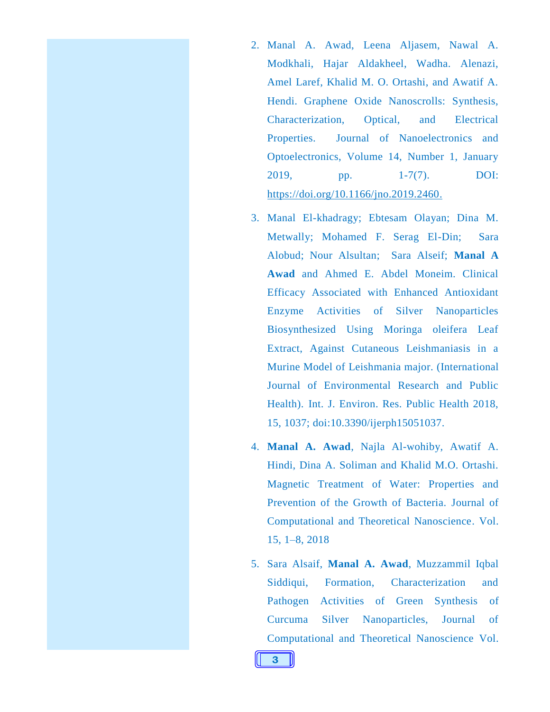- 2. Manal A. Awad, Leena Aljasem, Nawal A. Modkhali, Hajar Aldakheel, Wadha. Alenazi, Amel Laref, Khalid M. O. Ortashi, and Awatif A. Hendi. Graphene Oxide Nanoscrolls: Synthesis, Characterization, Optical, and Electrical Properties. Journal of Nanoelectronics and Optoelectronics, Volume 14, Number 1, January 2019, pp. 1-7(7). DOI: [https://doi.org/10.1166/jno.2019.2460.](https://doi.org/10.1166/jno.2019.2460)
- 3. Manal El-khadragy; Ebtesam Olayan; Dina M. Metwally; Mohamed F. Serag El-Din; Sara Alobud; Nour Alsultan; Sara Alseif; **Manal A Awad** and Ahmed E. Abdel Moneim. Clinical Efficacy Associated with Enhanced Antioxidant Enzyme Activities of Silver Nanoparticles Biosynthesized Using Moringa oleifera Leaf Extract, Against Cutaneous Leishmaniasis in a Murine Model of Leishmania major. (International Journal of Environmental Research and Public Health). Int. J. Environ. Res. Public Health 2018, 15, 1037; doi:10.3390/ijerph15051037.
- 4. **Manal A. Awad**, Najla Al-wohiby, Awatif A. Hindi, Dina A. Soliman and Khalid M.O. Ortashi. Magnetic Treatment of Water: Properties and Prevention of the Growth of Bacteria. Journal of Computational and Theoretical Nanoscience. Vol. 15, 1–8, 2018
- 5. Sara Alsaif, **Manal A. Awad**, Muzzammil Iqbal Siddiqui, Formation, Characterization and Pathogen Activities of Green Synthesis of Curcuma Silver Nanoparticles, Journal of Computational and Theoretical Nanoscience Vol.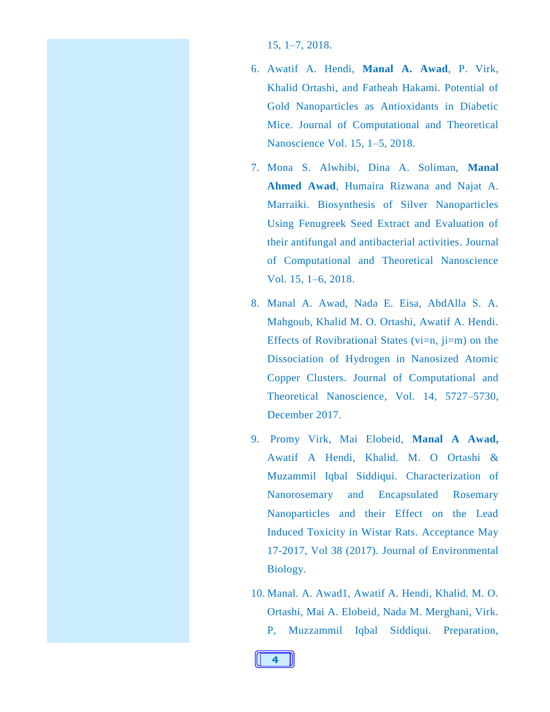15, 1–7, 2018.

- 6. Awatif A. Hendi, **Manal A. Awad**, P. Virk, Khalid Ortashi, and Fatheah Hakami. Potential of Gold Nanoparticles as Antioxidants in Diabetic Mice. Journal of Computational and Theoretical Nanoscience Vol. 15, 1–5, 2018.
- 7. Mona S. Alwhibi, Dina A. Soliman, **Manal Ahmed Awad**, Humaira Rizwana and Najat A. Marraiki. Biosynthesis of Silver Nanoparticles Using Fenugreek Seed Extract and Evaluation of their antifungal and antibacterial activities. Journal of Computational and Theoretical Nanoscience Vol. 15, 1–6, 2018.
- 8. Manal A. Awad, Nada E. Eisa, AbdAlla S. A. Mahgoub, Khalid M. O. Ortashi, Awatif A. Hendi. Effects of Rovibrational States ( $vi=n$ ,  $ji=m$ ) on the Dissociation of Hydrogen in Nanosized Atomic Copper Clusters. Journal of Computational and Theoretical Nanoscience, Vol. 14, 5727–5730, December 2017.
- 9. Promy Virk, Mai Elobeid, **Manal A Awad,** Awatif A Hendi, Khalid. M. O Ortashi & Muzammil Iqbal Siddiqui. Characterization of Nanorosemary and Encapsulated Rosemary Nanoparticles and their Effect on the Lead Induced Toxicity in Wistar Rats. Acceptance May 17-2017, Vol 38 (2017). Journal of Environmental Biology.
- 10. Manal. A. Awad1, Awatif A. Hendi, Khalid. M. O. Ortashi, [Mai A. Elobeid,](https://www.researchgate.net/researcher/2006790242_Mai_Abdel-Rahman/) Nada M. Merghani, Virk. P, Muzzammil Iqbal Siddiqui. Preparation,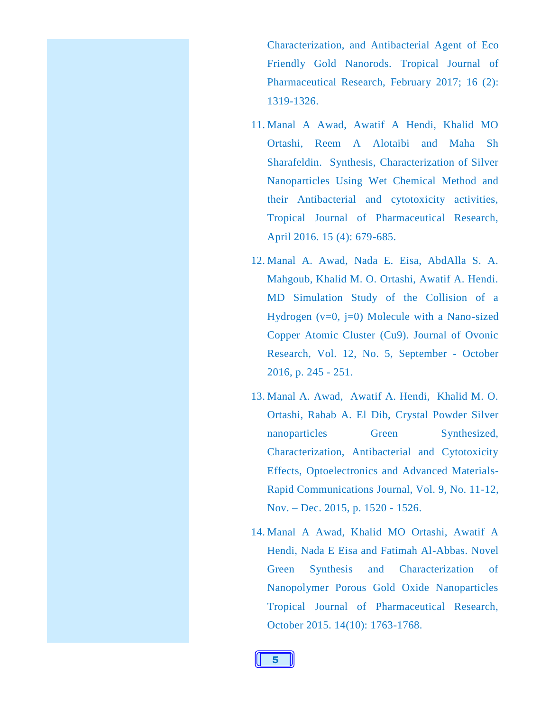Characterization, and Antibacterial Agent of Eco Friendly Gold Nanorods. Tropical Journal of Pharmaceutical Research, February 2017; 16 (2): 1319-1326.

- 11. Manal A Awad, Awatif A Hendi, Khalid MO Ortashi, Reem A Alotaibi and Maha Sh Sharafeldin. Synthesis, Characterization of Silver Nanoparticles Using Wet Chemical Method and their Antibacterial and cytotoxicity activities, Tropical Journal of Pharmaceutical Research, April 2016. 15 (4): 679-685.
- 12. Manal A. Awad, Nada E. Eisa, AbdAlla S. A. Mahgoub, Khalid M. O. Ortashi, Awatif A. Hendi. MD Simulation Study of the Collision of a Hydrogen  $(v=0, j=0)$  Molecule with a Nano-sized Copper Atomic Cluster (Cu9). Journal of Ovonic Research, Vol. 12, No. 5, September - October 2016, p. 245 - 251.
- 13. Manal A. Awad, Awatif A. Hendi, Khalid M. O. Ortashi, Rabab A. El Dib, Crystal Powder Silver nanoparticles Green Synthesized, Characterization, Antibacterial and Cytotoxicity Effects, Optoelectronics and Advanced Materials-Rapid Communications Journal, Vol. 9, No. 11-12, Nov. – Dec. 2015, p. 1520 - 1526.
- 14. Manal A Awad, Khalid MO Ortashi, Awatif A Hendi, Nada E Eisa and Fatimah Al-Abbas. Novel Green Synthesis and Characterization of Nanopolymer Porous Gold Oxide Nanoparticles Tropical Journal of Pharmaceutical Research, October 2015. 14(10): 1763-1768.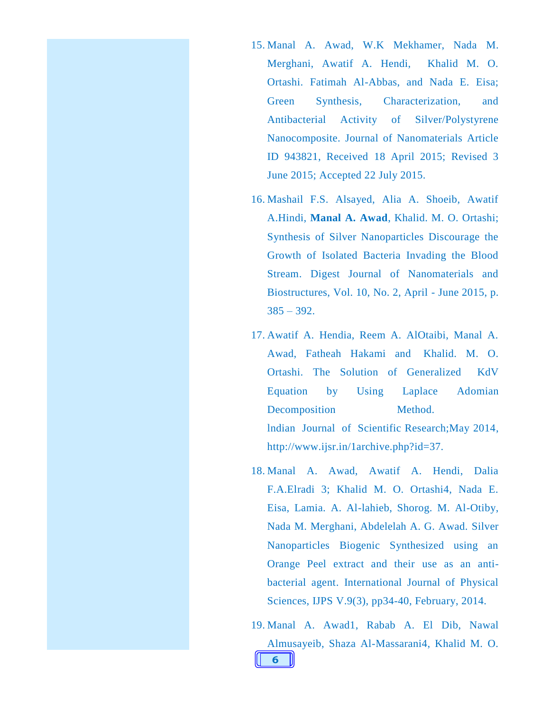- 15. Manal A. Awad, W.K Mekhamer, Nada M. Merghani, Awatif A. Hendi, Khalid M. O. Ortashi. Fatimah Al-Abbas, and Nada E. Eisa; Green Synthesis, Characterization, and Antibacterial Activity of Silver/Polystyrene Nanocomposite. Journal of Nanomaterials Article ID 943821, Received 18 April 2015; Revised 3 June 2015; Accepted 22 July 2015.
- 16. Mashail F.S. Alsayed, Alia A. Shoeib, Awatif A.Hindi, **Manal A. Awad**, Khalid. M. O. Ortashi; Synthesis of Silver Nanoparticles Discourage the Growth of Isolated Bacteria Invading the Blood Stream. Digest Journal of Nanomaterials and Biostructures, Vol. 10, No. 2, April - June 2015, p.  $385 - 392.$
- 17. Awatif A. Hendia, Reem A. AlOtaibi, Manal A. Awad, Fatheah Hakami and Khalid. M. O. Ortashi. The Solution of Generalized KdV Equation by Using Laplace Adomian Decomposition Method. lndian Journal of Scientific Research;May 2014, http://www.ijsr.in/1archive.php?id=37.
- 18. Manal A. Awad, Awatif A. Hendi, Dalia F.A.Elradi 3; Khalid M. O. Ortashi4, Nada E. Eisa, Lamia. A. Al-lahieb, Shorog. M. Al-Otiby, Nada M. Merghani, Abdelelah A. G. Awad. Silver Nanoparticles Biogenic Synthesized using an Orange Peel extract and their use as an antibacterial agent. International Journal of Physical Sciences, IJPS V.9(3), pp34-40, February, 2014.
- **6** 19. Manal A. Awad1, Rabab A. El Dib, Nawal Almusayeib, Shaza Al-Massarani4, Khalid M. O.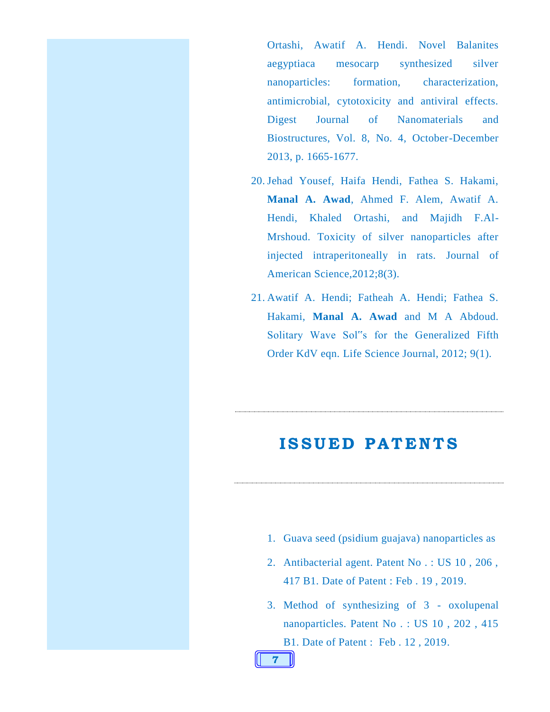Ortashi, Awatif A. Hendi. Novel Balanites aegyptiaca mesocarp synthesized silver nanoparticles: formation, characterization, antimicrobial, cytotoxicity and antiviral effects. Digest Journal of Nanomaterials and Biostructures, Vol. 8, No. 4, October-December 2013, p. 1665-1677.

- 20. Jehad Yousef, Haifa Hendi, Fathea S. Hakami, **Manal A. Awad**, Ahmed F. Alem, Awatif A. Hendi, Khaled Ortashi, and Majidh F.Al-Mrshoud. Toxicity of silver nanoparticles after injected intraperitoneally in rats. Journal of American Science,2012;8(3).
- 21. Awatif A. Hendi; Fatheah A. Hendi; Fathea S. Hakami, **Manal A. Awad** and M A Abdoud. Solitary Wave Sol"s for the Generalized Fifth Order KdV eqn. Life Science Journal, 2012; 9(1).

#### **ISSUED PATENTS**

- 1. Guava seed (psidium guajava) nanoparticles as
- 2. Antibacterial agent. Patent No . : US 10 , 206 , 417 B1. Date of Patent : Feb . 19 , 2019.
- 3. Method of synthesizing of 3 oxolupenal nanoparticles. Patent No . : US 10 , 202 , 415
	- B1. Date of Patent : Feb . 12 , 2019.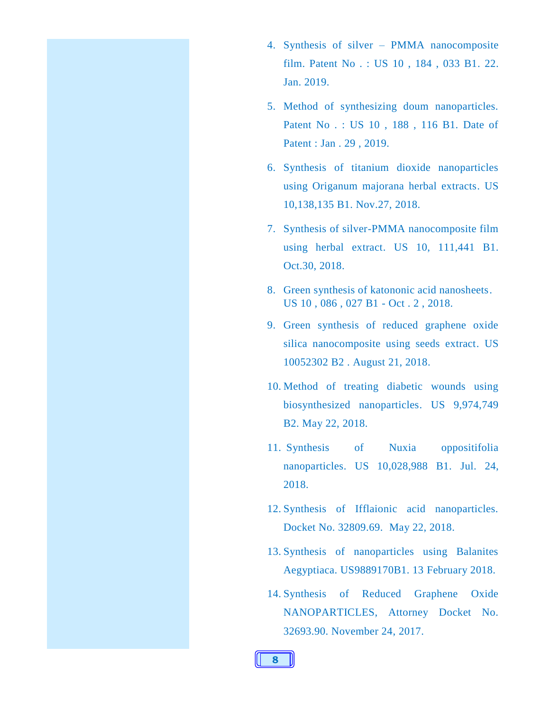- 4. Synthesis of silver PMMA nanocomposite film. Patent No . : US 10 , 184 , 033 B1. 22. Jan. 2019.
- 5. Method of synthesizing doum nanoparticles. Patent No . : US 10 , 188 , 116 B1. Date of Patent : Jan . 29 , 2019.
- 6. Synthesis of titanium dioxide nanoparticles using Origanum majorana herbal extracts. US 10,138,135 B1. Nov.27, 2018.
- 7. Synthesis of silver-PMMA nanocomposite film using herbal extract. US 10, 111,441 B1. Oct.30, 2018.
- 8. Green synthesis of katononic acid nanosheets. US 10 , 086 , 027 B1 - Oct . 2 , 2018.
- 9. Green synthesis of reduced graphene oxide silica nanocomposite using seeds extract. US 10052302 B2 . August 21, 2018.
- 10. Method of treating diabetic wounds using biosynthesized nanoparticles. US 9,974,749 B2. May 22, 2018.
- 11. Synthesis of Nuxia oppositifolia nanoparticles. US 10,028,988 B1. Jul. 24, 2018.
- 12. Synthesis of Ifflaionic acid nanoparticles. Docket No. 32809.69. May 22, 2018.
- 13. Synthesis of nanoparticles using Balanites Aegyptiaca. US9889170B1. 13 February 2018.
- 14. Synthesis of Reduced Graphene Oxide NANOPARTICLES, Attorney Docket No. 32693.90. November 24, 2017.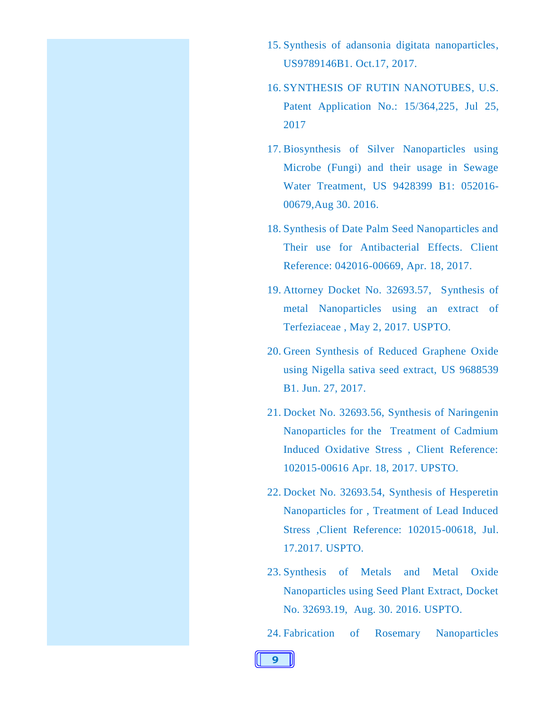- 15. Synthesis of adansonia digitata nanoparticles, US9789146B1. Oct.17, 2017.
- 16. SYNTHESIS OF RUTIN NANOTUBES, U.S. Patent Application No.: 15/364,225, Jul 25, 2017
- 17. Biosynthesis of Silver Nanoparticles using Microbe (Fungi) and their usage in Sewage Water Treatment, US 9428399 B1: 052016- 00679,Aug 30. 2016.
- 18. Synthesis of Date Palm Seed Nanoparticles and Their use for Antibacterial Effects. Client Reference: 042016-00669, Apr. 18, 2017.
- 19. Attorney Docket No. 32693.57, Synthesis of metal Nanoparticles using an extract of Terfeziaceae , May 2, 2017. USPTO.
- 20. Green Synthesis of Reduced Graphene Oxide using Nigella sativa seed extract, US 9688539 B1. Jun. 27, 2017.
- 21. Docket No. 32693.56, Synthesis of Naringenin Nanoparticles for the Treatment of Cadmium Induced Oxidative Stress , Client Reference: 102015-00616 Apr. 18, 2017. UPSTO.
- 22. Docket No. 32693.54, Synthesis of Hesperetin Nanoparticles for , Treatment of Lead Induced Stress ,Client Reference: 102015-00618, Jul. 17.2017. USPTO.
- 23. Synthesis of Metals and Metal Oxide Nanoparticles using Seed Plant Extract, Docket No. 32693.19, Aug. 30. 2016. USPTO.
- 24. Fabrication of Rosemary Nanoparticles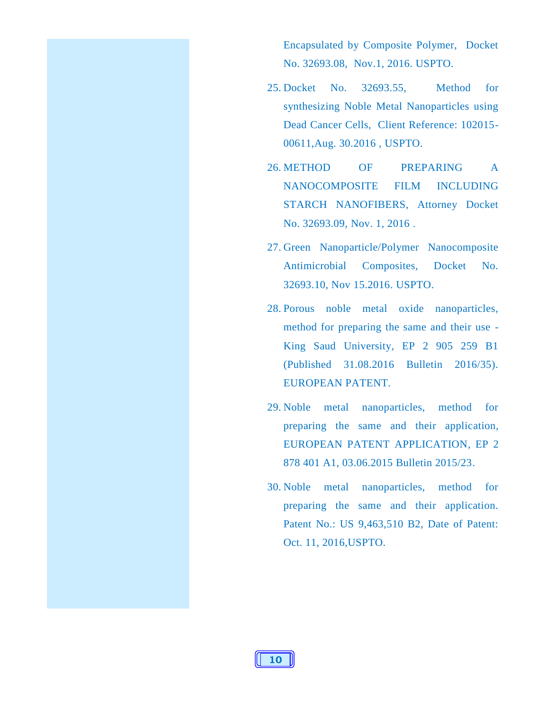Encapsulated by Composite Polymer, Docket No. 32693.08, Nov.1, 2016. USPTO.

- 25. Docket No. 32693.55, Method for synthesizing Noble Metal Nanoparticles using Dead Cancer Cells, Client Reference: 102015- 00611,Aug. 30.2016 , USPTO.
- 26. METHOD OF PREPARING A NANOCOMPOSITE FILM INCLUDING STARCH NANOFIBERS, Attorney Docket No. 32693.09, Nov. 1, 2016 .
- 27. Green Nanoparticle/Polymer Nanocomposite Antimicrobial Composites, Docket No. 32693.10, Nov 15.2016. USPTO.
- 28. Porous noble metal oxide nanoparticles, method for preparing the same and their use - King Saud University, EP 2 905 259 B1 (Published 31.08.2016 Bulletin 2016/35). EUROPEAN PATENT.
- 29. Noble metal nanoparticles, method for preparing the same and their application, EUROPEAN PATENT APPLICATION, EP 2 878 401 A1, 03.06.2015 Bulletin 2015/23.
- 30. Noble metal nanoparticles, method for preparing the same and their application. Patent No.: US 9,463,510 B2, Date of Patent: Oct. 11, 2016,USPTO.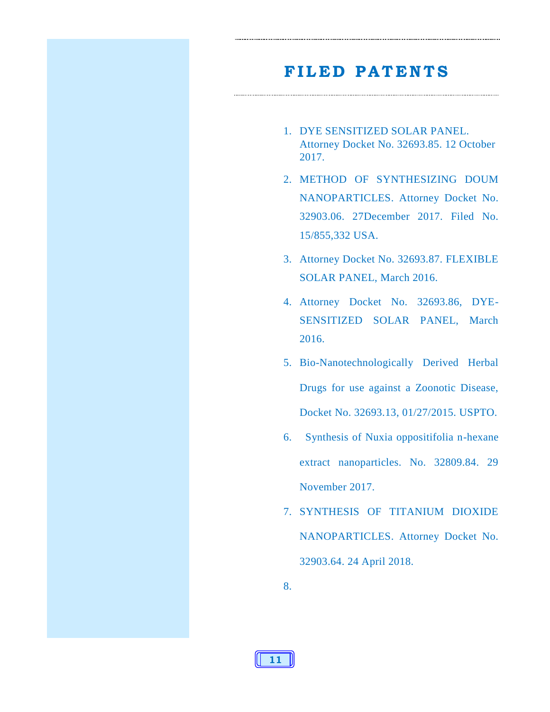### **FILED PATENTS**

- 1. DYE SENSITIZED SOLAR PANEL. Attorney Docket No. 32693.85. 12 October 2017.
- 2. METHOD OF SYNTHESIZING DOUM NANOPARTICLES. Attorney Docket No. 32903.06. 27December 2017. Filed No. 15/855,332 USA.
- 3. Attorney Docket No. 32693.87. FLEXIBLE SOLAR PANEL, March 2016.
- 4. Attorney Docket No. 32693.86, DYE-SENSITIZED SOLAR PANEL, March 2016.
- 5. Bio-Nanotechnologically Derived Herbal Drugs for use against a Zoonotic Disease, Docket No. 32693.13, 01/27/2015. USPTO.
- 6. Synthesis of Nuxia oppositifolia n-hexane extract nanoparticles. No. 32809.84. 29 November 2017.
- 7. SYNTHESIS OF TITANIUM DIOXIDE NANOPARTICLES. Attorney Docket No. 32903.64. 24 April 2018.

8.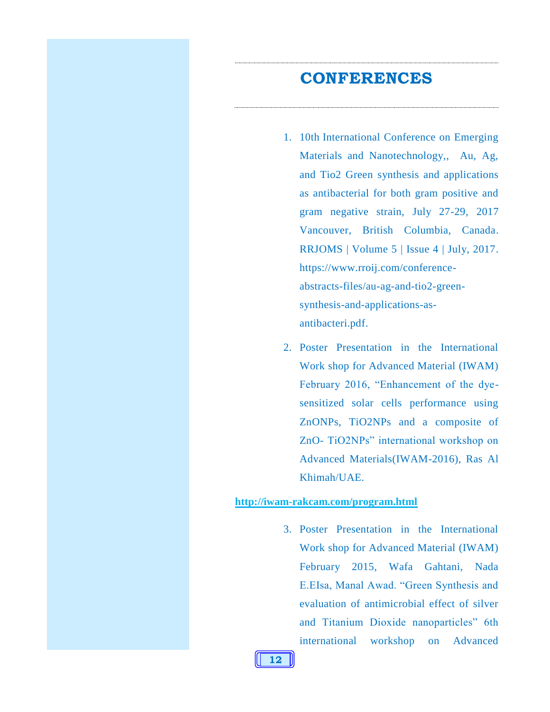#### **CONFERENCES**

- 1. 10th International Conference on Emerging Materials and Nanotechnology,, Au, Ag, and Tio2 Green synthesis and applications as antibacterial for both gram positive and gram negative strain, July 27-29, 2017 Vancouver, British Columbia, Canada. RRJOMS | Volume 5 | Issue 4 | July, 2017. https://www.rroij.com/conferenceabstracts-files/au-ag-and-tio2-greensynthesis-and-applications-asantibacteri.pdf.
- 2. Poster Presentation in the International Work shop for Advanced Material (IWAM) February 2016, "Enhancement of the dyesensitized solar cells performance using ZnONPs, TiO2NPs and a composite of ZnO- TiO2NPs" international workshop on Advanced Materials(IWAM-2016), Ras Al Khimah/UAE.

#### **<http://iwam-rakcam.com/program.html>**

3. Poster Presentation in the International Work shop for Advanced Material (IWAM) February 2015, Wafa Gahtani, Nada E.EIsa, Manal Awad. "Green Synthesis and evaluation of antimicrobial effect of silver and Titanium Dioxide nanoparticles" 6th international workshop on Advanced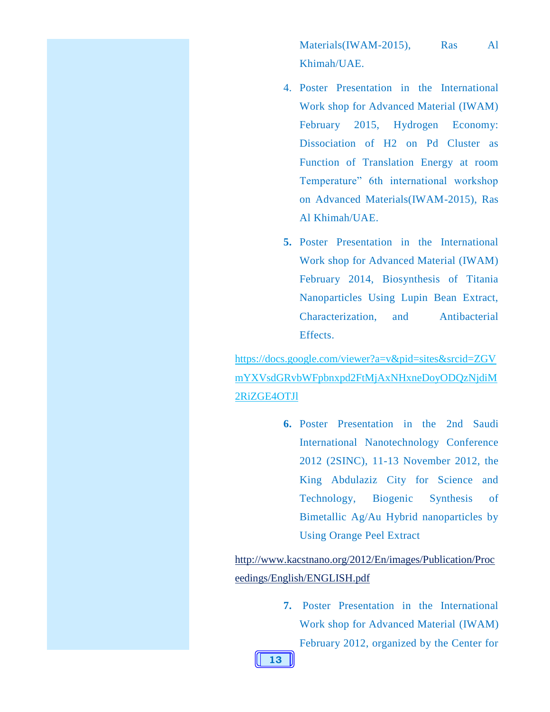Materials(IWAM-2015), Ras Al Khimah/UAE.

- 4. Poster Presentation in the International Work shop for Advanced Material (IWAM) February 2015, Hydrogen Economy: Dissociation of H2 on Pd Cluster as Function of Translation Energy at room Temperature" 6th international workshop on Advanced Materials(IWAM-2015), Ras Al Khimah/UAE.
- **5.** Poster Presentation in the International Work shop for Advanced Material (IWAM) February 2014, Biosynthesis of Titania Nanoparticles Using Lupin Bean Extract, Characterization, and Antibacterial Effects.

[https://docs.google.com/viewer?a=v&pid=sites&srcid=ZGV](https://docs.google.com/viewer?a=v&pid=sites&srcid=ZGVmYXVsdGRvbWFpbnxpd2FtMjAxNHxneDoyODQzNjdiM2RiZGE4OTJl) [mYXVsdGRvbWFpbnxpd2FtMjAxNHxneDoyODQzNjdiM](https://docs.google.com/viewer?a=v&pid=sites&srcid=ZGVmYXVsdGRvbWFpbnxpd2FtMjAxNHxneDoyODQzNjdiM2RiZGE4OTJl) [2RiZGE4OTJl](https://docs.google.com/viewer?a=v&pid=sites&srcid=ZGVmYXVsdGRvbWFpbnxpd2FtMjAxNHxneDoyODQzNjdiM2RiZGE4OTJl)

> **6.** Poster Presentation in the 2nd Saudi International Nanotechnology Conference 2012 (2SINC), 11-13 November 2012, the King Abdulaziz City for Science and Technology, Biogenic Synthesis of Bimetallic Ag/Au Hybrid nanoparticles by Using Orange Peel Extract

[http://www.kacstnano.org/2012/En/images/Publication/Proc](http://www.kacstnano.org/2012/En/images/Publication/Proceedings/English/ENGLISH.pdf) [eedings/English/ENGLISH.pdf](http://www.kacstnano.org/2012/En/images/Publication/Proceedings/English/ENGLISH.pdf)

> **7.** Poster Presentation in the International Work shop for Advanced Material (IWAM) February 2012, organized by the Center for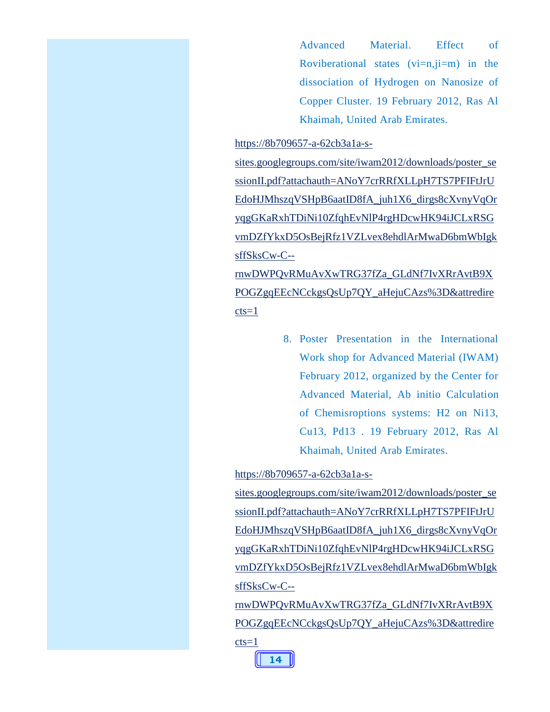Advanced Material. Effect of Roviberational states  $(vi=n,ji=m)$  in the dissociation of Hydrogen on Nanosize of Copper Cluster. 19 February 2012, Ras Al Khaimah, United Arab Emirates.

https://8b709657-a-62cb3a1a-s-

sites.googlegroups.com/site/iwam2012/downloads/poster\_se ssionII.pdf?attachauth=ANoY7crRRfXLLpH7TS7PFIFtJrU EdoHJMhszqVSHpB6aatID8fA\_juh1X6\_dirgs8cXvnyVqOr yqgGKaRxhTDiNi10ZfqhEvNlP4rgHDcwHK94iJCLxRSG vmDZfYkxD5OsBejRfz1VZLvex8ehdlArMwaD6bmWbIgk sffSksCw-C- rnwDWPQvRMuAvXwTRG37fZa\_GLdNf7IvXRrAvtB9X

POGZgqEEcNCckgsQsUp7QY\_aHejuCAzs%3D&attredire  $cts=1$ 

> 8. Poster Presentation in the International Work shop for Advanced Material (IWAM) February 2012, organized by the Center for Advanced Material, Ab initio Calculation of Chemisroptions systems: H2 on Ni13, Cu13, Pd13 . 19 February 2012, Ras Al Khaimah, United Arab Emirates.

https://8b709657-a-62cb3a1a-s-

sites.googlegroups.com/site/iwam2012/downloads/poster\_se ssionII.pdf?attachauth=ANoY7crRRfXLLpH7TS7PFIFtJrU EdoHJMhszqVSHpB6aatID8fA\_juh1X6\_dirgs8cXvnyVqOr yqgGKaRxhTDiNi10ZfqhEvNlP4rgHDcwHK94iJCLxRSG vmDZfYkxD5OsBejRfz1VZLvex8ehdlArMwaD6bmWbIgk sffSksCw-C--

rnwDWPQvRMuAvXwTRG37fZa\_GLdNf7IvXRrAvtB9X POGZgqEEcNCckgsQsUp7QY\_aHejuCAzs%3D&attredire  $cts=1$ 

 $|| 14$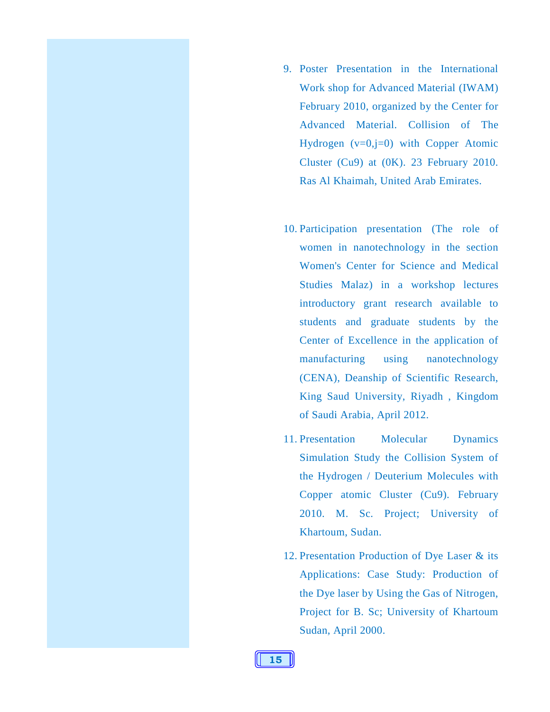- 9. Poster Presentation in the International Work shop for Advanced Material (IWAM) February 2010, organized by the Center for Advanced Material. Collision of The Hydrogen  $(v=0,j=0)$  with Copper Atomic Cluster (Cu9) at (0K). 23 February 2010. Ras Al Khaimah, United Arab Emirates.
- 10. Participation presentation (The role of women in nanotechnology in the section Women's Center for Science and Medical Studies Malaz) in a workshop lectures introductory grant research available to students and graduate students by the Center of Excellence in the application of manufacturing using nanotechnology (CENA), Deanship of Scientific Research, King Saud University, Riyadh , Kingdom of Saudi Arabia, April 2012.
- 11. Presentation Molecular Dynamics Simulation Study the Collision System of the Hydrogen / Deuterium Molecules with Copper atomic Cluster (Cu9). February 2010. M. Sc. Project; University of Khartoum, Sudan.
- 12. Presentation Production of Dye Laser & its Applications: Case Study: Production of the Dye laser by Using the Gas of Nitrogen, Project for B. Sc; University of Khartoum Sudan, April 2000.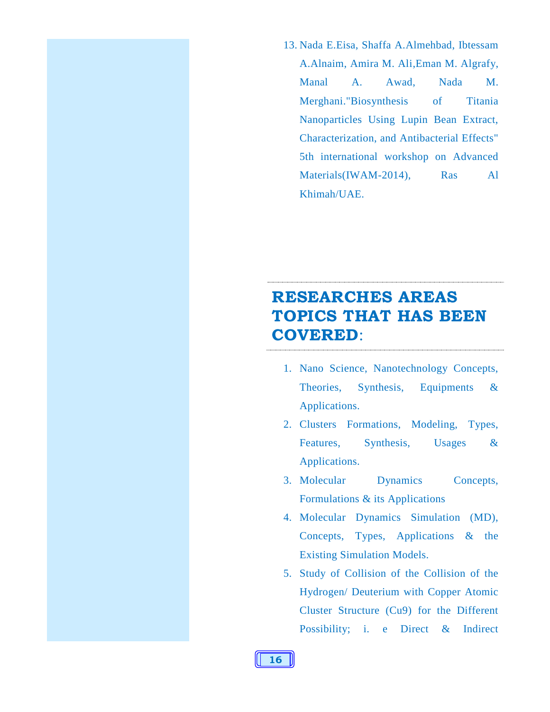13. Nada E.Eisa, Shaffa A.Almehbad, Ibtessam A.Alnaim, Amira M. Ali,Eman M. Algrafy, Manal A. Awad, Nada M. Merghani."Biosynthesis of Titania Nanoparticles Using Lupin Bean Extract, Characterization, and Antibacterial Effects" 5th international workshop on Advanced Materials(IWAM-2014), Ras Al Khimah/UAE.

### **RESEARCHES AREAS TOPICS THAT HAS BEEN COVERED**:

- 1. Nano Science, Nanotechnology Concepts, Theories, Synthesis, Equipments & Applications.
- 2. Clusters Formations, Modeling, Types, Features, Synthesis, Usages & Applications.
- 3. Molecular Dynamics Concepts, Formulations & its Applications
- 4. Molecular Dynamics Simulation (MD), Concepts, Types, Applications & the Existing Simulation Models.
- 5. Study of Collision of the Collision of the Hydrogen/ Deuterium with Copper Atomic Cluster Structure (Cu9) for the Different Possibility; i. e Direct & Indirect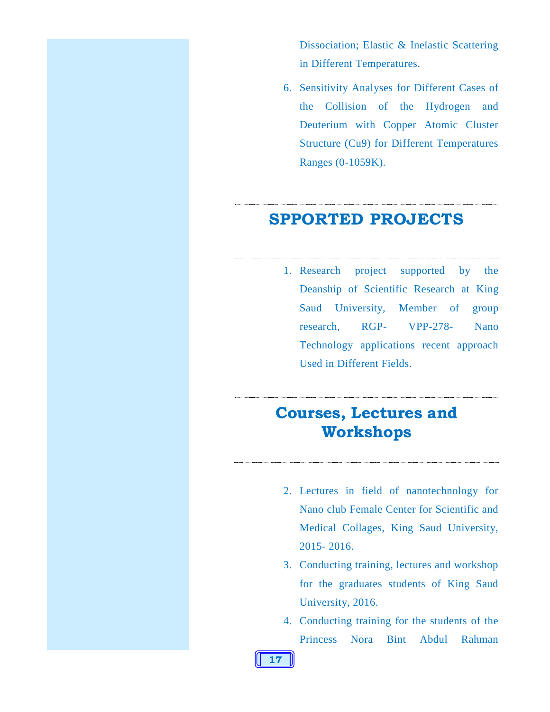Dissociation; Elastic & Inelastic Scattering in Different Temperatures.

6. Sensitivity Analyses for Different Cases of the Collision of the Hydrogen and Deuterium with Copper Atomic Cluster Structure (Cu9) for Different Temperatures Ranges (0-1059K).

### **SPPORTED PROJECTS**

1. Research project supported by the Deanship of Scientific Research at King Saud University, Member of group research, RGP- VPP-278- Nano Technology applications recent approach Used in Different Fields.

#### **Courses, Lectures and Workshops**

- 2. Lectures in field of nanotechnology for Nano club Female Center for Scientific and Medical Collages, King Saud University, 2015- 2016.
- 3. Conducting training, lectures and workshop for the graduates students of King Saud University, 2016.
- 4. Conducting training for the students of the Princess Nora Bint Abdul Rahman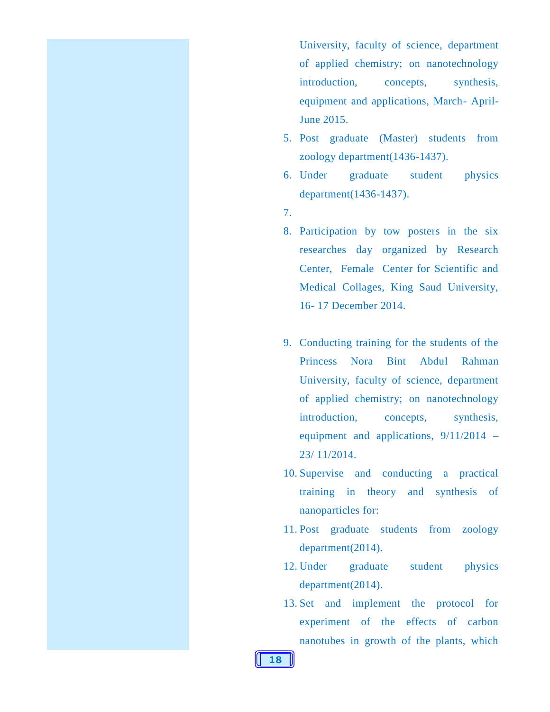University, faculty of science, department of applied chemistry; on nanotechnology introduction, concepts, synthesis, equipment and applications, March- April-June 2015.

- 5. Post graduate (Master) students from zoology department(1436-1437).
- 6. Under graduate student physics department(1436-1437).
- 7.
- 8. Participation by tow posters in the six researches day organized by Research Center, Female Center for Scientific and Medical Collages, King Saud University, 16- 17 December 2014.
- 9. Conducting training for the students of the Princess Nora Bint Abdul Rahman University, faculty of science, department of applied chemistry; on nanotechnology introduction, concepts, synthesis, equipment and applications, 9/11/2014 – 23/ 11/2014.
- 10. Supervise and conducting a practical training in theory and synthesis of nanoparticles for:
- 11. Post graduate students from zoology department(2014).
- 12. Under graduate student physics department(2014).
- 13. Set and implement the protocol for experiment of the effects of carbon nanotubes in growth of the plants, which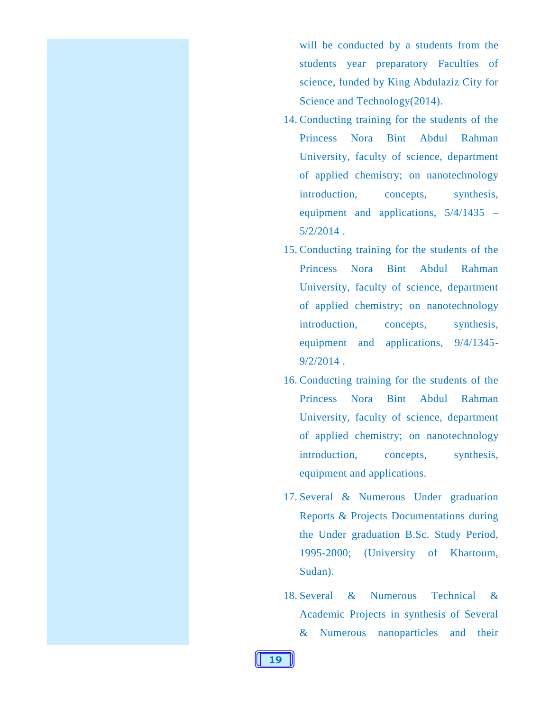will be conducted by a students from the students year preparatory Faculties of science, funded by King Abdulaziz City for Science and Technology(2014).

- 14. Conducting training for the students of the Princess Nora Bint Abdul Rahman University, faculty of science, department of applied chemistry; on nanotechnology introduction, concepts, synthesis, equipment and applications, 5/4/1435 –  $5/2/2014$ .
- 15. Conducting training for the students of the Princess Nora Bint Abdul Rahman University, faculty of science, department of applied chemistry; on nanotechnology introduction, concepts, synthesis, equipment and applications, 9/4/1345-  $9/2/2014$
- 16. Conducting training for the students of the Princess Nora Bint Abdul Rahman University, faculty of science, department of applied chemistry; on nanotechnology introduction, concepts, synthesis, equipment and applications.
- 17. Several & Numerous Under graduation Reports & Projects Documentations during the Under graduation B.Sc. Study Period, 1995-2000; (University of Khartoum, Sudan).
- 18. Several & Numerous Technical & Academic Projects in synthesis of Several & Numerous nanoparticles and their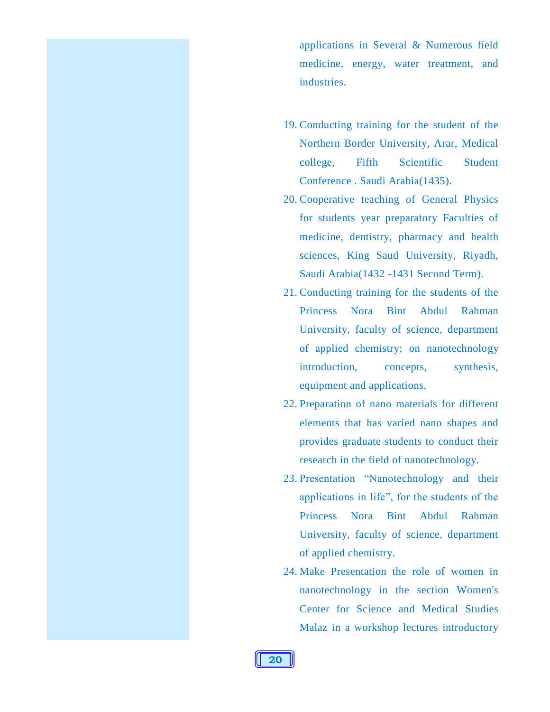applications in Several & Numerous field medicine, energy, water treatment, and industries.

- 19. Conducting training for the student of the Northern Border University, Arar, Medical college, Fifth Scientific Student Conference . Saudi Arabia(1435).
- 20. Cooperative teaching of General Physics for students year preparatory Faculties of medicine, dentistry, pharmacy and health sciences, King Saud University, Riyadh, Saudi Arabia(1432 -1431 Second Term).
- 21. Conducting training for the students of the Princess Nora Bint Abdul Rahman University, faculty of science, department of applied chemistry; on nanotechnology introduction, concepts, synthesis, equipment and applications.
- 22. Preparation of nano materials for different elements that has varied nano shapes and provides graduate students to conduct their research in the field of nanotechnology.
- 23. Presentation "Nanotechnology and their applications in life", for the students of the Princess Nora Bint Abdul Rahman University, faculty of science, department of applied chemistry.
- 24. Make Presentation the role of women in nanotechnology in the section Women's Center for Science and Medical Studies Malaz in a workshop lectures introductory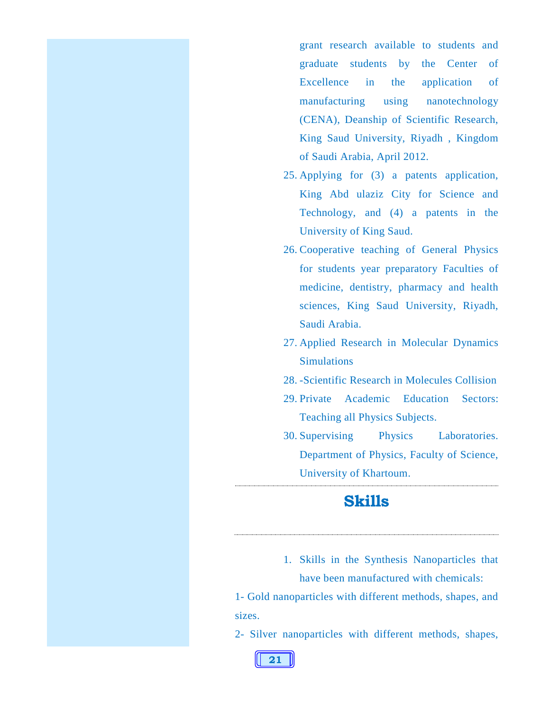grant research available to students and graduate students by the Center of Excellence in the application of manufacturing using nanotechnology (CENA), Deanship of Scientific Research, King Saud University, Riyadh , Kingdom of Saudi Arabia, April 2012.

- 25. Applying for (3) a patents application, King Abd ulaziz City for Science and Technology, and (4) a patents in the University of King Saud.
- 26. Cooperative teaching of General Physics for students year preparatory Faculties of medicine, dentistry, pharmacy and health sciences, King Saud University, Riyadh, Saudi Arabia.
- 27. Applied Research in Molecular Dynamics **Simulations**
- 28. -Scientific Research in Molecules Collision
- 29. Private Academic Education Sectors: Teaching all Physics Subjects.
- 30. Supervising Physics Laboratories. Department of Physics, Faculty of Science, University of Khartoum.

#### **Skills**

1. Skills in the Synthesis Nanoparticles that have been manufactured with chemicals:

1- Gold nanoparticles with different methods, shapes, and sizes.

2- Silver nanoparticles with different methods, shapes,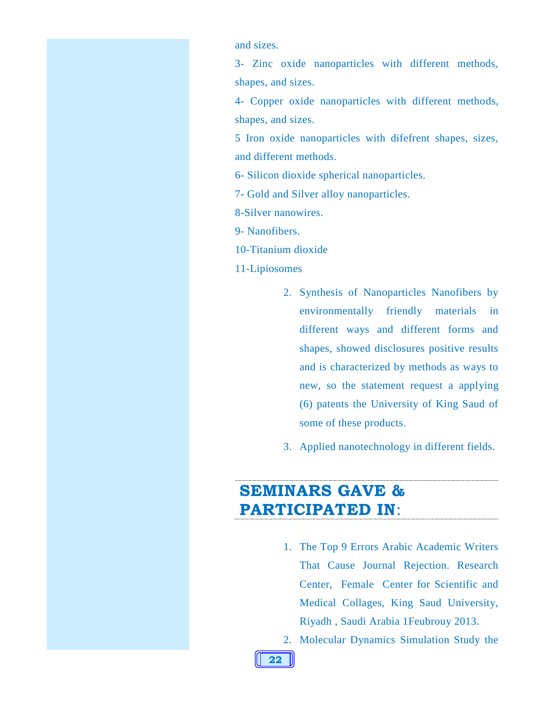and sizes.

3- Zinc oxide nanoparticles with different methods, shapes, and sizes.

4- Copper oxide nanoparticles with different methods, shapes, and sizes.

5 Iron oxide nanoparticles with difefrent shapes, sizes, and different methods.

6- Silicon dioxide spherical nanoparticles.

7- Gold and Silver alloy nanoparticles.

8-Silver nanowires.

9- Nanofibers.

10-Titanium dioxide

11-Lipiosomes

- 2. Synthesis of Nanoparticles Nanofibers by environmentally friendly materials in different ways and different forms and shapes, showed disclosures positive results and is characterized by methods as ways to new, so the statement request a applying (6) patents the University of King Saud of some of these products.
- 3. Applied nanotechnology in different fields.

#### **SEMINARS GAVE & PARTICIPATED IN**:

- 1. The Top 9 Errors Arabic Academic Writers That Cause Journal Rejection. Research Center, Female Center for Scientific and Medical Collages, King Saud University, Riyadh , Saudi Arabia 1Feubrouy 2013.
- 2. Molecular Dynamics Simulation Study the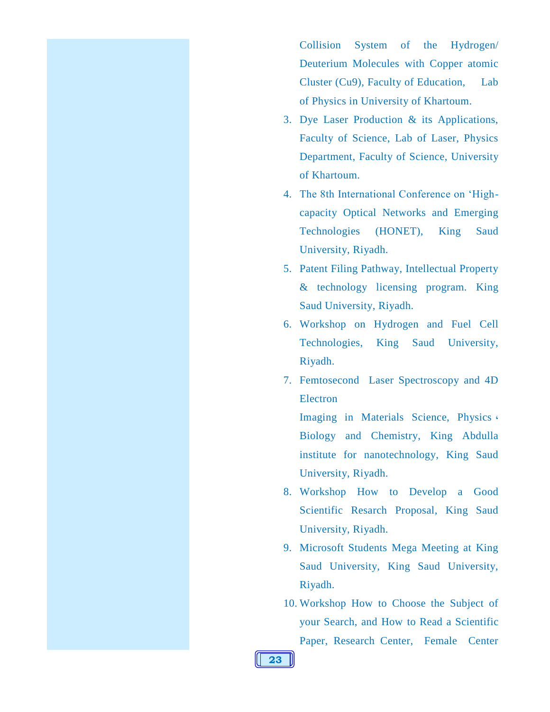Collision System of the Hydrogen/ Deuterium Molecules with Copper atomic Cluster (Cu9), Faculty of Education, Lab of Physics in University of Khartoum.

- 3. Dye Laser Production & its Applications, Faculty of Science, Lab of Laser, Physics Department, Faculty of Science, University of Khartoum.
- 4. The 8th International Conference on 'Highcapacity Optical Networks and Emerging Technologies (HONET), King Saud University, Riyadh.
- 5. Patent Filing Pathway, Intellectual Property & technology licensing program. King Saud University, Riyadh.
- 6. Workshop on Hydrogen and Fuel Cell Technologies, King Saud University, Riyadh.
- 7. Femtosecond Laser Spectroscopy and 4D Electron

Imaging in Materials Science, Physics  $\cdot$ Biology and Chemistry, King Abdulla institute for nanotechnology, King Saud University, Riyadh.

- 8. Workshop How to Develop a Good Scientific Resarch Proposal, King Saud University, Riyadh.
- 9. Microsoft Students Mega Meeting at King Saud University, King Saud University, Riyadh.
- 10. Workshop How to Choose the Subject of your Search, and How to Read a Scientific Paper, Research Center, Female Center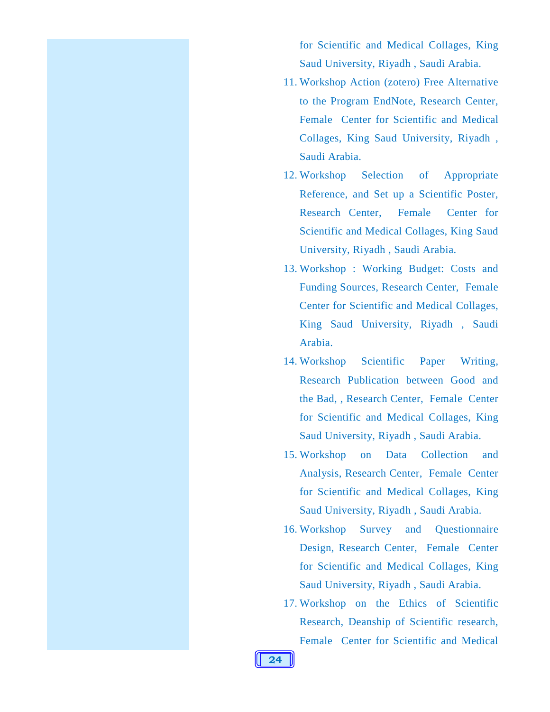for Scientific and Medical Collages, King Saud University, Riyadh , Saudi Arabia.

- 11. Workshop Action (zotero) Free Alternative to the Program EndNote, Research Center, Female Center for Scientific and Medical Collages, King Saud University, Riyadh , Saudi Arabia.
- 12. Workshop Selection of Appropriate Reference, and Set up a Scientific Poster, Research Center, Female Center for Scientific and Medical Collages, King Saud University, Riyadh , Saudi Arabia.
- 13. Workshop : Working Budget: Costs and Funding Sources, Research Center, Female Center for Scientific and Medical Collages, King Saud University, Riyadh , Saudi Arabia.
- 14. Workshop Scientific Paper Writing, Research Publication between Good and the Bad, , Research Center, Female Center for Scientific and Medical Collages, King Saud University, Riyadh , Saudi Arabia.
- 15. Workshop on Data Collection and Analysis, Research Center, Female Center for Scientific and Medical Collages, King Saud University, Riyadh , Saudi Arabia.
- 16. Workshop Survey and Questionnaire Design, Research Center, Female Center for Scientific and Medical Collages, King Saud University, Riyadh , Saudi Arabia.
- 17. Workshop on the Ethics of Scientific Research, Deanship of Scientific research, Female Center for Scientific and Medical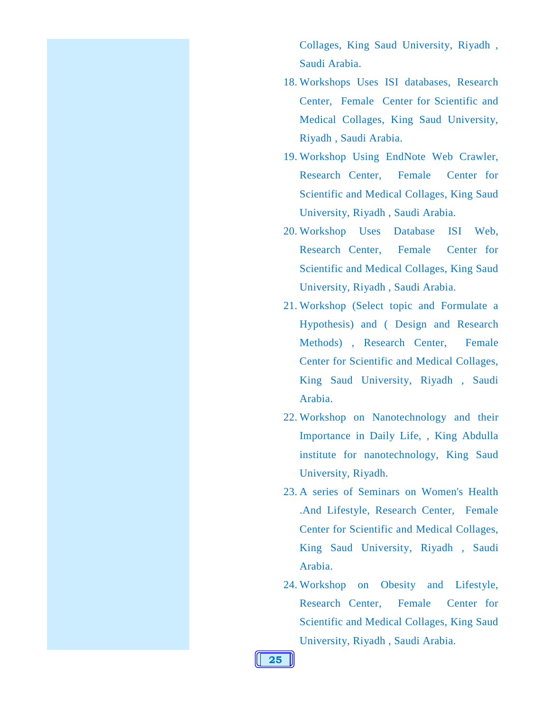Collages, King Saud University, Riyadh , Saudi Arabia.

- 18. Workshops Uses ISI databases, Research Center, Female Center for Scientific and Medical Collages, King Saud University, Riyadh , Saudi Arabia.
- 19. Workshop Using EndNote Web Crawler, Research Center, Female Center for Scientific and Medical Collages, King Saud University, Riyadh , Saudi Arabia.
- 20. Workshop Uses Database ISI Web, Research Center, Female Center for Scientific and Medical Collages, King Saud University, Riyadh , Saudi Arabia.
- 21. Workshop (Select topic and Formulate a Hypothesis) and ( Design and Research Methods) , Research Center, Female Center for Scientific and Medical Collages, King Saud University, Riyadh , Saudi Arabia.
- 22. Workshop on Nanotechnology and their Importance in Daily Life, , King Abdulla institute for nanotechnology, King Saud University, Riyadh.
- 23. A series of Seminars on Women's Health .And Lifestyle, Research Center, Female Center for Scientific and Medical Collages, King Saud University, Riyadh , Saudi Arabia.
- 24. Workshop on Obesity and Lifestyle, Research Center, Female Center for Scientific and Medical Collages, King Saud University, Riyadh , Saudi Arabia.